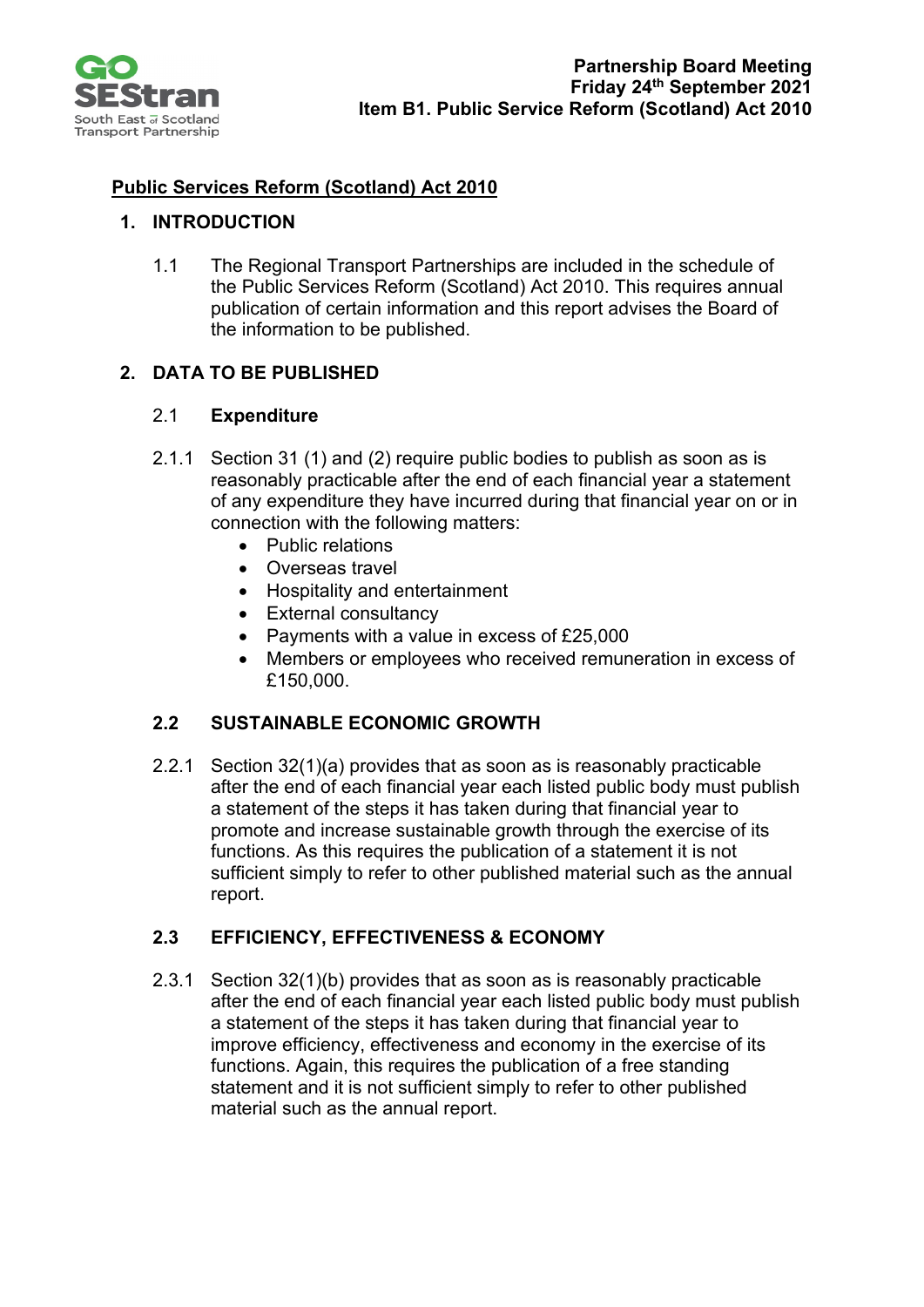

# **Public Services Reform (Scotland) Act 2010**

### **1. INTRODUCTION**

1.1 The Regional Transport Partnerships are included in the schedule of the Public Services Reform (Scotland) Act 2010. This requires annual publication of certain information and this report advises the Board of the information to be published.

## **2. DATA TO BE PUBLISHED**

#### 2.1 **Expenditure**

- 2.1.1 Section 31 (1) and (2) require public bodies to publish as soon as is reasonably practicable after the end of each financial year a statement of any expenditure they have incurred during that financial year on or in connection with the following matters:
	- Public relations
	- Overseas travel
	- Hospitality and entertainment
	- External consultancy
	- Payments with a value in excess of £25,000
	- Members or employees who received remuneration in excess of £150,000.

### **2.2 SUSTAINABLE ECONOMIC GROWTH**

2.2.1 Section 32(1)(a) provides that as soon as is reasonably practicable after the end of each financial year each listed public body must publish a statement of the steps it has taken during that financial year to promote and increase sustainable growth through the exercise of its functions. As this requires the publication of a statement it is not sufficient simply to refer to other published material such as the annual report.

### **2.3 EFFICIENCY, EFFECTIVENESS & ECONOMY**

2.3.1 Section 32(1)(b) provides that as soon as is reasonably practicable after the end of each financial year each listed public body must publish a statement of the steps it has taken during that financial year to improve efficiency, effectiveness and economy in the exercise of its functions. Again, this requires the publication of a free standing statement and it is not sufficient simply to refer to other published material such as the annual report.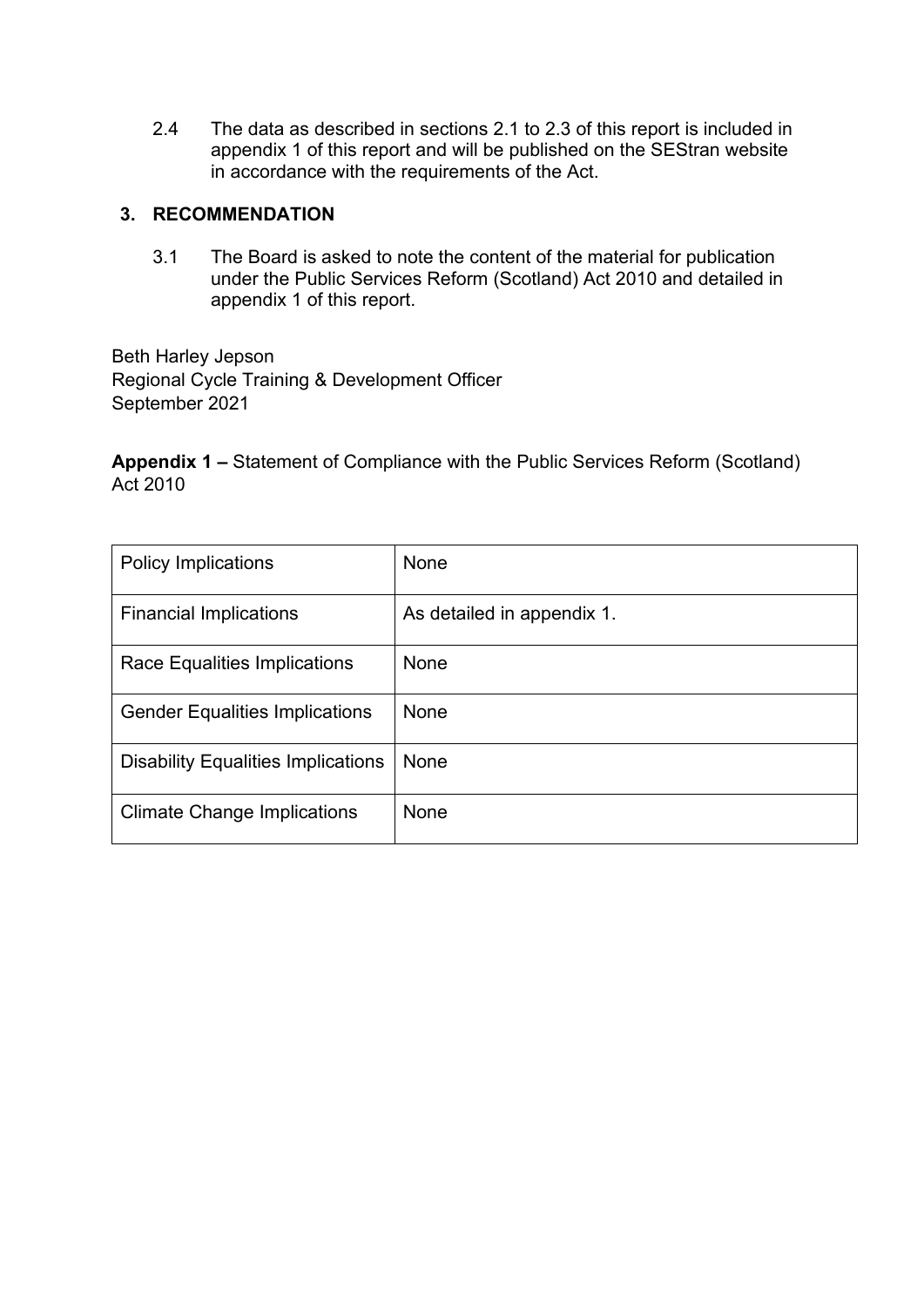2.4 The data as described in sections 2.1 to 2.3 of this report is included in appendix 1 of this report and will be published on the SEStran website in accordance with the requirements of the Act.

### **3. RECOMMENDATION**

3.1 The Board is asked to note the content of the material for publication under the Public Services Reform (Scotland) Act 2010 and detailed in appendix 1 of this report.

Beth Harley Jepson Regional Cycle Training & Development Officer September 2021

**Appendix 1 –** Statement of Compliance with the Public Services Reform (Scotland) Act 2010

| <b>Policy Implications</b>                | None                       |
|-------------------------------------------|----------------------------|
| <b>Financial Implications</b>             | As detailed in appendix 1. |
| Race Equalities Implications              | None                       |
| <b>Gender Equalities Implications</b>     | None                       |
| <b>Disability Equalities Implications</b> | None                       |
| <b>Climate Change Implications</b>        | None                       |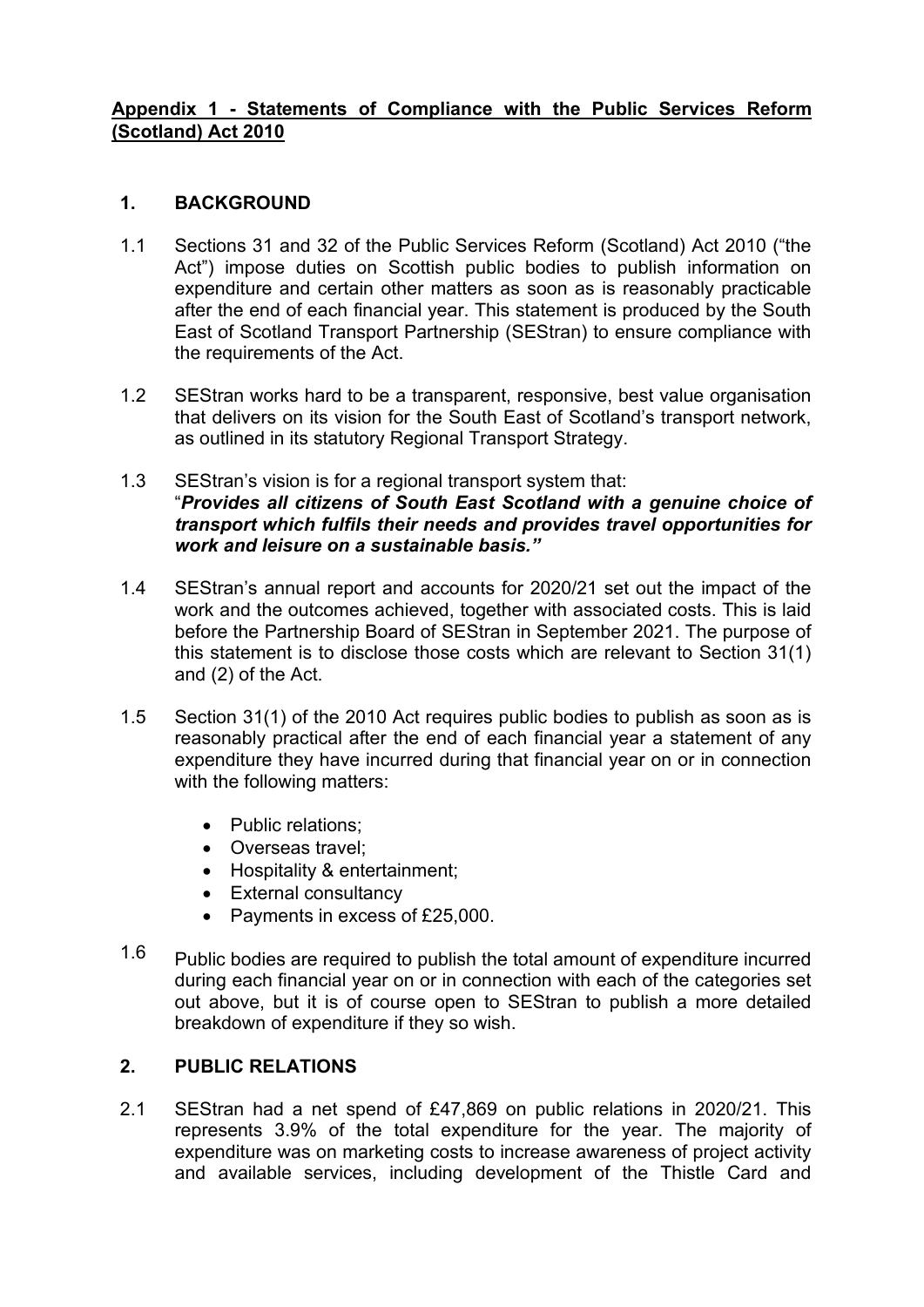### **Appendix 1 - Statements of Compliance with the Public Services Reform (Scotland) Act 2010**

#### **1. BACKGROUND**

- 1.1 Sections 31 and 32 of the Public Services Reform (Scotland) Act 2010 ("the Act") impose duties on Scottish public bodies to publish information on expenditure and certain other matters as soon as is reasonably practicable after the end of each financial year. This statement is produced by the South East of Scotland Transport Partnership (SEStran) to ensure compliance with the requirements of the Act.
- 1.2 SEStran works hard to be a transparent, responsive, best value organisation that delivers on its vision for the South East of Scotland's transport network, as outlined in its statutory Regional Transport Strategy.
- 1.3 SEStran's vision is for a regional transport system that: "*Provides all citizens of South East Scotland with a genuine choice of transport which fulfils their needs and provides travel opportunities for work and leisure on a sustainable basis."*
- 1.4 SEStran's annual report and accounts for 2020/21 set out the impact of the work and the outcomes achieved, together with associated costs. This is laid before the Partnership Board of SEStran in September 2021. The purpose of this statement is to disclose those costs which are relevant to Section 31(1) and (2) of the Act.
- 1.5 Section 31(1) of the 2010 Act requires public bodies to publish as soon as is reasonably practical after the end of each financial year a statement of any expenditure they have incurred during that financial year on or in connection with the following matters:
	- Public relations;
	- Overseas travel;
	- Hospitality & entertainment;
	- External consultancy
	- Payments in excess of £25,000.
- 1.6 Public bodies are required to publish the total amount of expenditure incurred during each financial year on or in connection with each of the categories set out above, but it is of course open to SEStran to publish a more detailed breakdown of expenditure if they so wish.

### **2. PUBLIC RELATIONS**

2.1 SEStran had a net spend of £47,869 on public relations in 2020/21. This represents 3.9% of the total expenditure for the year. The majority of expenditure was on marketing costs to increase awareness of project activity and available services, including development of the Thistle Card and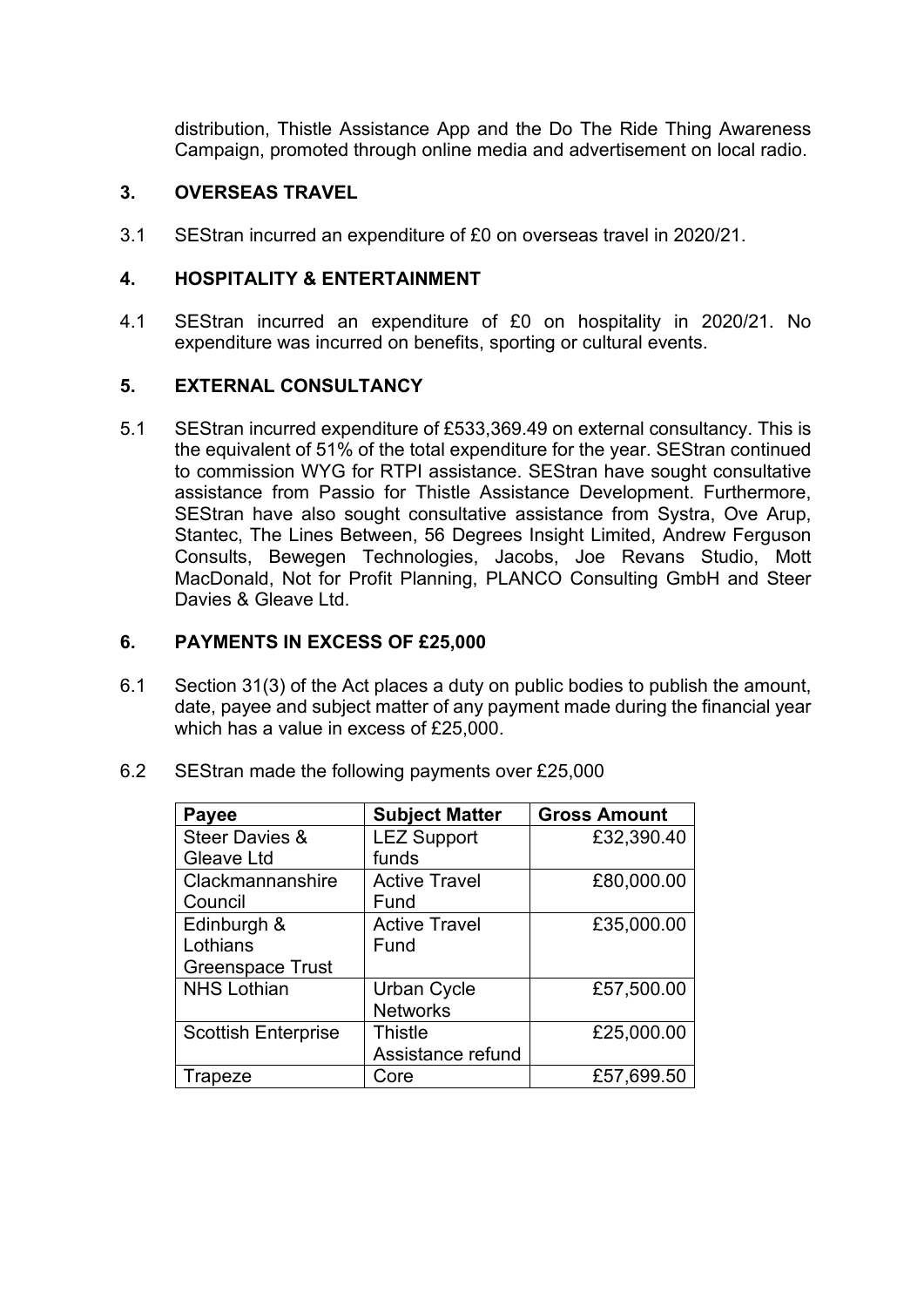distribution, Thistle Assistance App and the Do The Ride Thing Awareness Campaign, promoted through online media and advertisement on local radio.

### **3. OVERSEAS TRAVEL**

3.1 SEStran incurred an expenditure of £0 on overseas travel in 2020/21.

#### **4. HOSPITALITY & ENTERTAINMENT**

4.1 SEStran incurred an expenditure of £0 on hospitality in 2020/21. No expenditure was incurred on benefits, sporting or cultural events.

#### **5. EXTERNAL CONSULTANCY**

5.1 SEStran incurred expenditure of £533,369.49 on external consultancy. This is the equivalent of 51% of the total expenditure for the year. SEStran continued to commission WYG for RTPI assistance. SEStran have sought consultative assistance from Passio for Thistle Assistance Development. Furthermore, SEStran have also sought consultative assistance from Systra, Ove Arup, Stantec, The Lines Between, 56 Degrees Insight Limited, Andrew Ferguson Consults, Bewegen Technologies, Jacobs, Joe Revans Studio, Mott MacDonald, Not for Profit Planning, PLANCO Consulting GmbH and Steer Davies & Gleave Ltd.

#### **6. PAYMENTS IN EXCESS OF £25,000**

6.1 Section 31(3) of the Act places a duty on public bodies to publish the amount, date, payee and subject matter of any payment made during the financial year which has a value in excess of £25,000.

| Payee                      | <b>Subject Matter</b> | <b>Gross Amount</b> |
|----------------------------|-----------------------|---------------------|
| <b>Steer Davies &amp;</b>  | <b>LEZ Support</b>    | £32,390.40          |
| Gleave Ltd                 | funds                 |                     |
| Clackmannanshire           | <b>Active Travel</b>  | £80,000.00          |
| Council                    | Fund                  |                     |
| Edinburgh &                | <b>Active Travel</b>  | £35,000.00          |
| Lothians                   | Fund                  |                     |
| <b>Greenspace Trust</b>    |                       |                     |
| <b>NHS Lothian</b>         | <b>Urban Cycle</b>    | £57,500.00          |
|                            | <b>Networks</b>       |                     |
| <b>Scottish Enterprise</b> | <b>Thistle</b>        | £25,000.00          |
|                            | Assistance refund     |                     |
| Trapeze                    | Core                  | £57,699.50          |

6.2 SEStran made the following payments over £25,000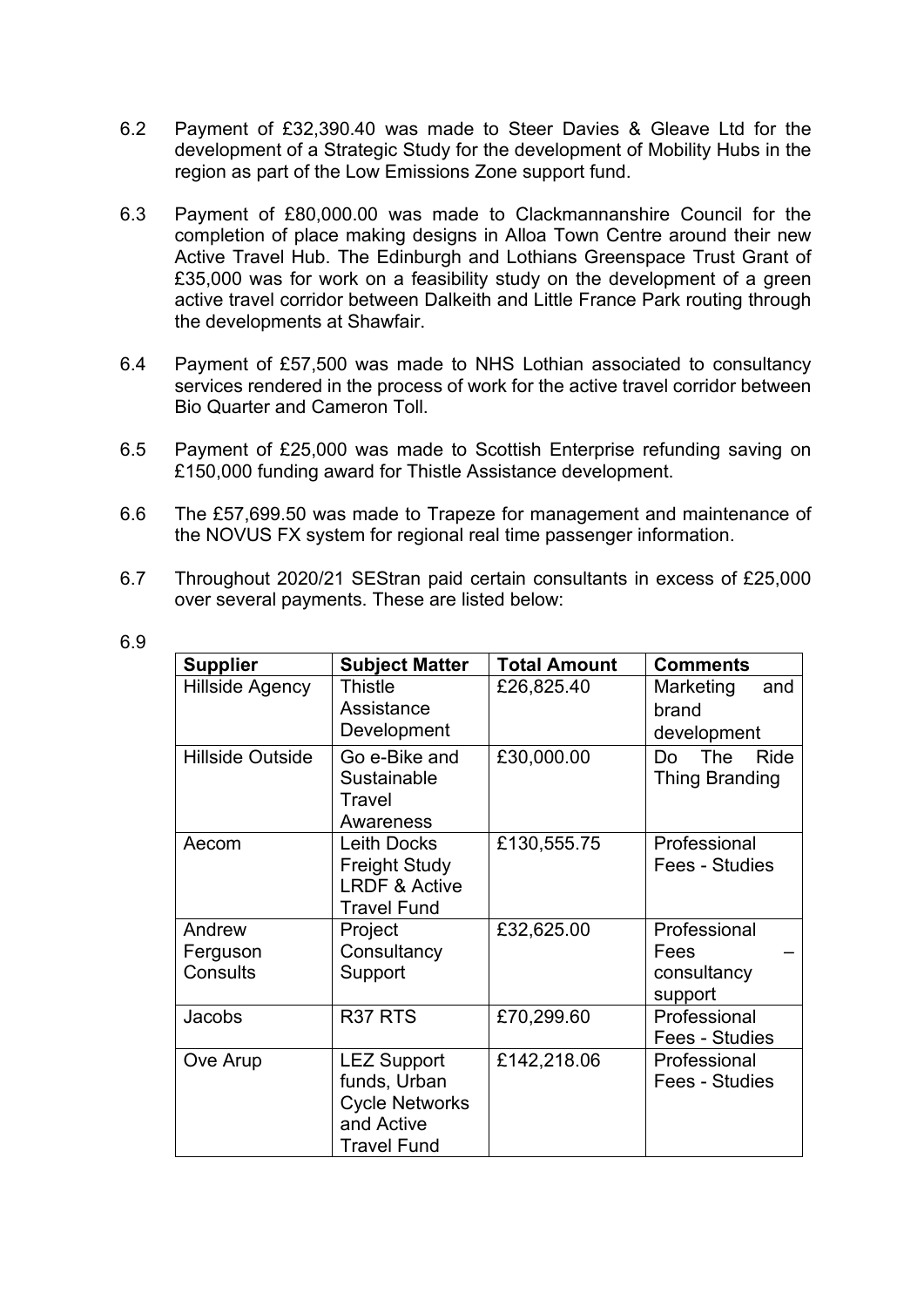- 6.2 Payment of £32,390.40 was made to Steer Davies & Gleave Ltd for the development of a Strategic Study for the development of Mobility Hubs in the region as part of the Low Emissions Zone support fund.
- 6.3 Payment of £80,000.00 was made to Clackmannanshire Council for the completion of place making designs in Alloa Town Centre around their new Active Travel Hub. The Edinburgh and Lothians Greenspace Trust Grant of £35,000 was for work on a feasibility study on the development of a green active travel corridor between Dalkeith and Little France Park routing through the developments at Shawfair.
- 6.4 Payment of £57,500 was made to NHS Lothian associated to consultancy services rendered in the process of work for the active travel corridor between Bio Quarter and Cameron Toll.
- 6.5 Payment of £25,000 was made to Scottish Enterprise refunding saving on £150,000 funding award for Thistle Assistance development.
- 6.6 The £57,699.50 was made to Trapeze for management and maintenance of the NOVUS FX system for regional real time passenger information.
- 6.7 Throughout 2020/21 SEStran paid certain consultants in excess of £25,000 over several payments. These are listed below:

| <b>Supplier</b>         | <b>Subject Matter</b>                                                                           | <b>Total Amount</b> | <b>Comments</b>                     |
|-------------------------|-------------------------------------------------------------------------------------------------|---------------------|-------------------------------------|
| Hillside Agency         | Thistle                                                                                         | £26,825.40          | Marketing<br>and                    |
|                         | Assistance                                                                                      |                     | brand                               |
|                         | Development                                                                                     |                     | development                         |
| <b>Hillside Outside</b> | Go e-Bike and<br>Sustainable<br>Travel<br>Awareness                                             | £30,000.00          | Ride<br>The<br>Do<br>Thing Branding |
| Aecom                   | <b>Leith Docks</b><br><b>Freight Study</b><br><b>LRDF &amp; Active</b><br><b>Travel Fund</b>    | £130,555.75         | Professional<br>Fees - Studies      |
| Andrew                  | Project                                                                                         | £32,625.00          | Professional                        |
| Ferguson                | Consultancy                                                                                     |                     | Fees                                |
| Consults                | Support                                                                                         |                     | consultancy                         |
|                         |                                                                                                 |                     | support                             |
| Jacobs                  | R <sub>37</sub> R <sub>TS</sub>                                                                 | £70,299.60          | Professional                        |
|                         |                                                                                                 |                     | Fees - Studies                      |
| Ove Arup                | <b>LEZ Support</b><br>funds, Urban<br><b>Cycle Networks</b><br>and Active<br><b>Travel Fund</b> | £142,218.06         | Professional<br>Fees - Studies      |

6.9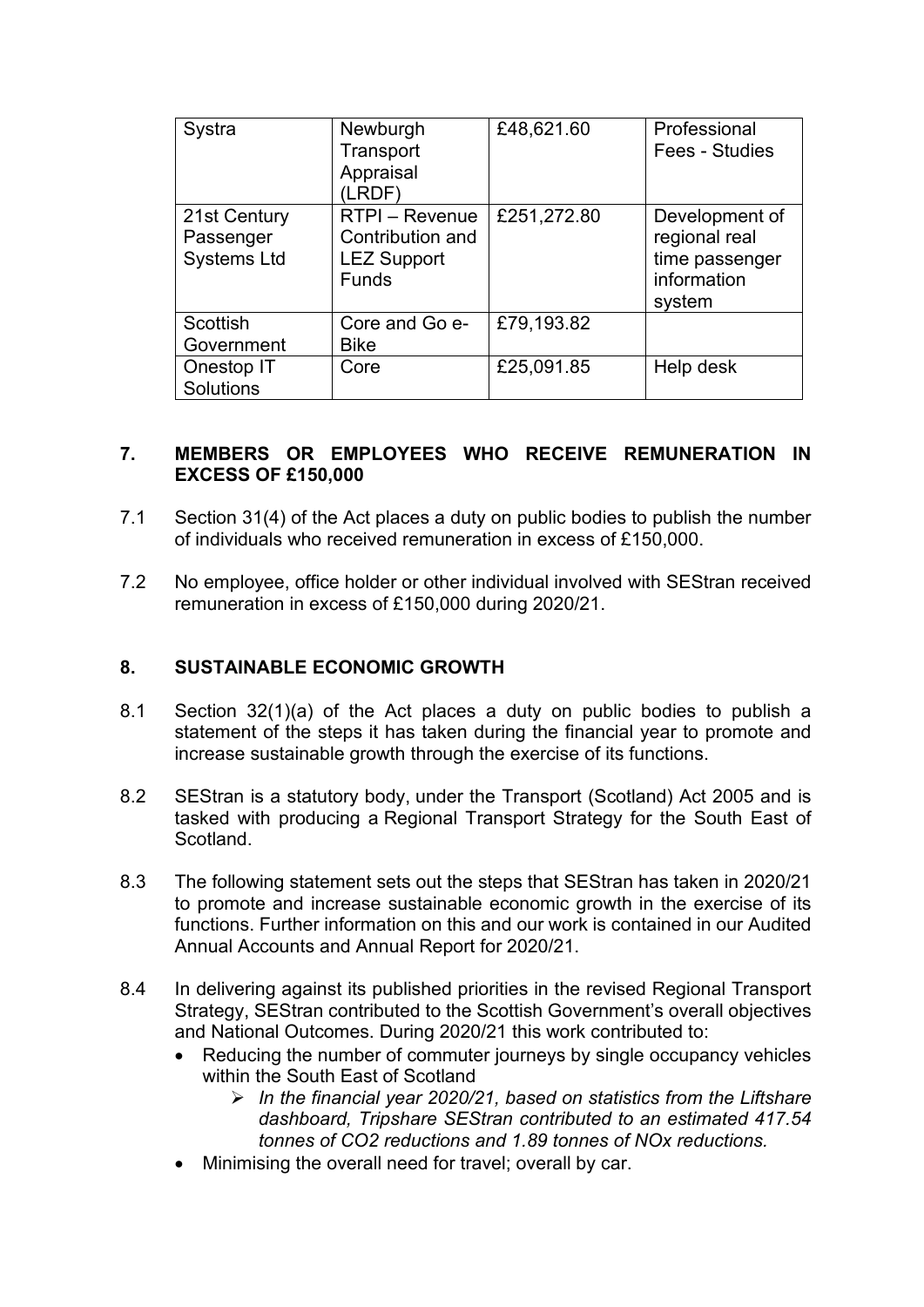| Systra                                          | Newburgh<br>Transport<br>Appraisal<br>(LRDF)                             | £48,621.60  | Professional<br>Fees - Studies                                             |
|-------------------------------------------------|--------------------------------------------------------------------------|-------------|----------------------------------------------------------------------------|
| 21st Century<br>Passenger<br><b>Systems Ltd</b> | RTPI - Revenue<br>Contribution and<br><b>LEZ Support</b><br><b>Funds</b> | £251,272.80 | Development of<br>regional real<br>time passenger<br>information<br>system |
| Scottish<br>Government                          | Core and Go e-<br><b>Bike</b>                                            | £79,193.82  |                                                                            |
| Onestop IT<br>Solutions                         | Core                                                                     | £25,091.85  | Help desk                                                                  |

#### **7. MEMBERS OR EMPLOYEES WHO RECEIVE REMUNERATION IN EXCESS OF £150,000**

- 7.1 Section 31(4) of the Act places a duty on public bodies to publish the number of individuals who received remuneration in excess of £150,000.
- 7.2 No employee, office holder or other individual involved with SEStran received remuneration in excess of £150,000 during 2020/21.

#### **8. SUSTAINABLE ECONOMIC GROWTH**

- 8.1 Section 32(1)(a) of the Act places a duty on public bodies to publish a statement of the steps it has taken during the financial year to promote and increase sustainable growth through the exercise of its functions.
- 8.2 SEStran is a statutory body, under the Transport (Scotland) Act 2005 and is tasked with producing a Regional Transport Strategy for the South East of Scotland.
- 8.3 The following statement sets out the steps that SEStran has taken in 2020/21 to promote and increase sustainable economic growth in the exercise of its functions. Further information on this and our work is contained in our Audited Annual Accounts and Annual Report for 2020/21.
- 8.4 In delivering against its published priorities in the revised Regional Transport Strategy, SEStran contributed to the Scottish Government's overall objectives and National Outcomes. During 2020/21 this work contributed to:
	- Reducing the number of commuter journeys by single occupancy vehicles within the South East of Scotland
		- *In the financial year 2020/21, based on statistics from the Liftshare dashboard, Tripshare SEStran contributed to an estimated 417.54 tonnes of CO2 reductions and 1.89 tonnes of NOx reductions.*
	- Minimising the overall need for travel; overall by car.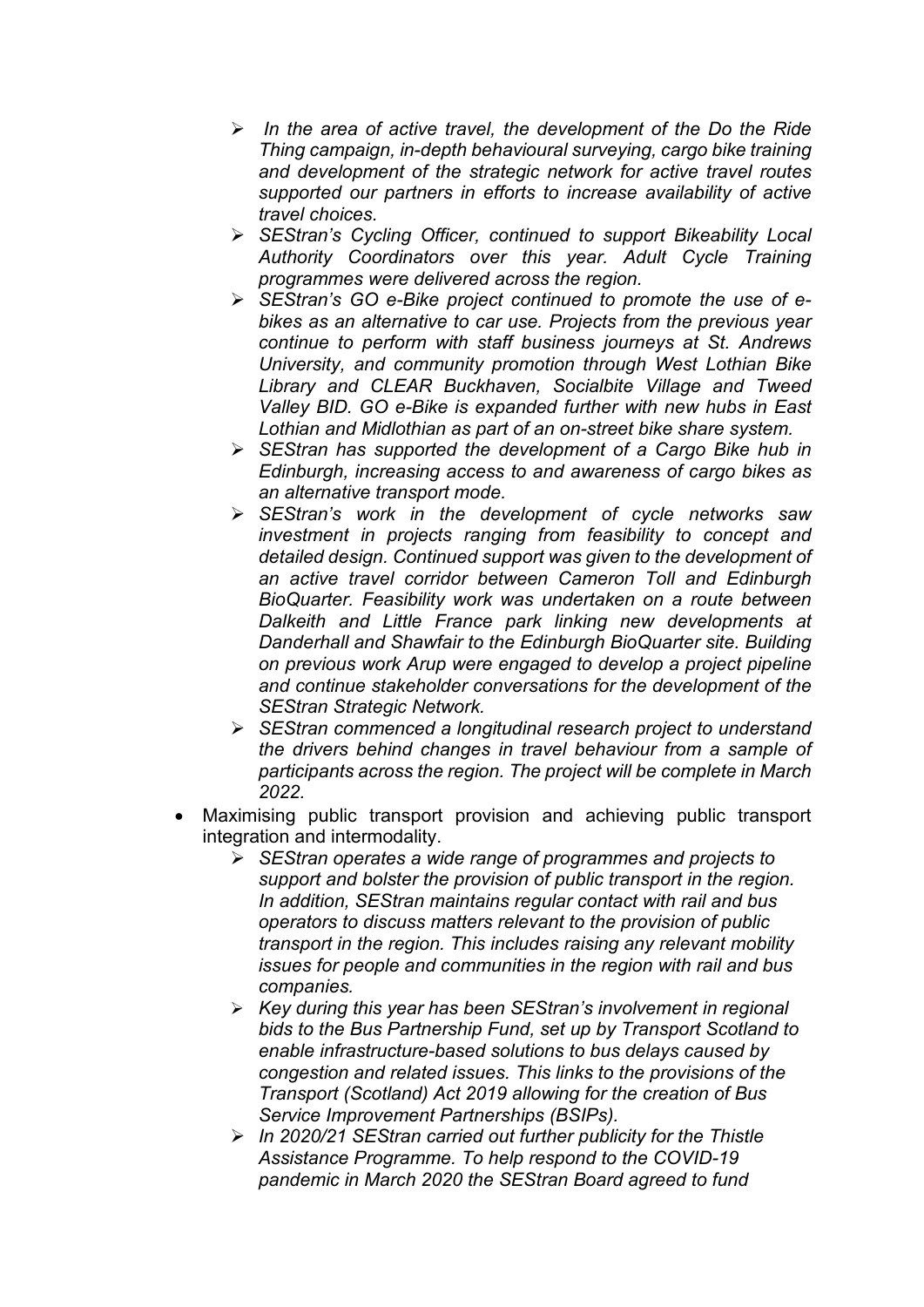- *In the area of active travel, the development of the Do the Ride Thing campaign, in-depth behavioural surveying, cargo bike training and development of the strategic network for active travel routes supported our partners in efforts to increase availability of active travel choices.*
- *SEStran's Cycling Officer, continued to support Bikeability Local Authority Coordinators over this year. Adult Cycle Training programmes were delivered across the region.*
- *SEStran's GO e-Bike project continued to promote the use of ebikes as an alternative to car use. Projects from the previous year continue to perform with staff business journeys at St. Andrews University, and community promotion through West Lothian Bike Library and CLEAR Buckhaven, Socialbite Village and Tweed Valley BID. GO e-Bike is expanded further with new hubs in East Lothian and Midlothian as part of an on-street bike share system.*
- *SEStran has supported the development of a Cargo Bike hub in Edinburgh, increasing access to and awareness of cargo bikes as an alternative transport mode.*
- *SEStran's work in the development of cycle networks saw investment in projects ranging from feasibility to concept and detailed design. Continued support was given to the development of an active travel corridor between Cameron Toll and Edinburgh BioQuarter. Feasibility work was undertaken on a route between Dalkeith and Little France park linking new developments at Danderhall and Shawfair to the Edinburgh BioQuarter site. Building on previous work Arup were engaged to develop a project pipeline and continue stakeholder conversations for the development of the SEStran Strategic Network.*
- *SEStran commenced a longitudinal research project to understand the drivers behind changes in travel behaviour from a sample of participants across the region. The project will be complete in March 2022.*
- Maximising public transport provision and achieving public transport integration and intermodality.
	- *SEStran operates a wide range of programmes and projects to support and bolster the provision of public transport in the region. In addition, SEStran maintains regular contact with rail and bus operators to discuss matters relevant to the provision of public transport in the region. This includes raising any relevant mobility issues for people and communities in the region with rail and bus companies.*
	- *Key during this year has been SEStran's involvement in regional bids to the Bus Partnership Fund, set up by Transport Scotland to enable infrastructure-based solutions to bus delays caused by congestion and related issues. This links to the provisions of the Transport (Scotland) Act 2019 allowing for the creation of Bus Service Improvement Partnerships (BSIPs).*
	- *In 2020/21 SEStran carried out further publicity for the Thistle Assistance Programme. To help respond to the COVID-19 pandemic in March 2020 the SEStran Board agreed to fund*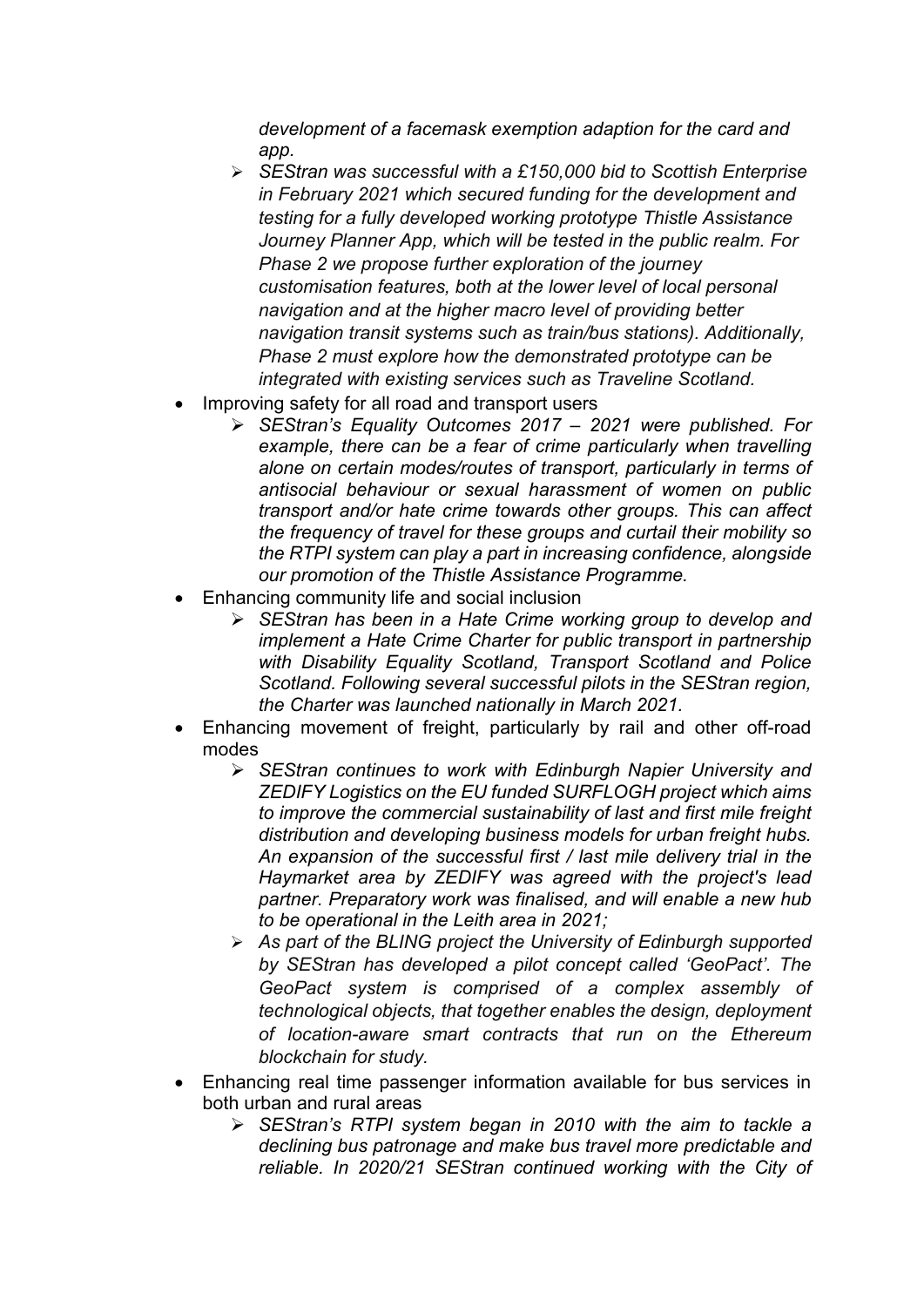*development of a facemask exemption adaption for the card and app.*

- *SEStran was successful with a £150,000 bid to Scottish Enterprise in February 2021 which secured funding for the development and testing for a fully developed working prototype Thistle Assistance Journey Planner App, which will be tested in the public realm. For Phase 2 we propose further exploration of the journey customisation features, both at the lower level of local personal navigation and at the higher macro level of providing better navigation transit systems such as train/bus stations). Additionally, Phase 2 must explore how the demonstrated prototype can be integrated with existing services such as Traveline Scotland.*
- Improving safety for all road and transport users
	- *SEStran's Equality Outcomes 2017 – 2021 were published. For*  example, there can be a fear of crime particularly when travelling *alone on certain modes/routes of transport, particularly in terms of antisocial behaviour or sexual harassment of women on public transport and/or hate crime towards other groups. This can affect the frequency of travel for these groups and curtail their mobility so the RTPI system can play a part in increasing confidence, alongside our promotion of the Thistle Assistance Programme.*
- Enhancing community life and social inclusion
	- *SEStran has been in a Hate Crime working group to develop and implement a Hate Crime Charter for public transport in partnership with Disability Equality Scotland, Transport Scotland and Police Scotland. Following several successful pilots in the SEStran region, the Charter was launched nationally in March 2021.*
- Enhancing movement of freight, particularly by rail and other off-road modes
	- *SEStran continues to work with Edinburgh Napier University and ZEDIFY Logistics on the EU funded SURFLOGH project which aims to improve the commercial sustainability of last and first mile freight distribution and developing business models for urban freight hubs. An expansion of the successful first / last mile delivery trial in the Haymarket area by ZEDIFY was agreed with the project's lead partner. Preparatory work was finalised, and will enable a new hub to be operational in the Leith area in 2021;*
	- *As part of the BLING project the University of Edinburgh supported by SEStran has developed a pilot concept called 'GeoPact'. The GeoPact system is comprised of a complex assembly of technological objects, that together enables the design, deployment of location-aware smart contracts that run on the Ethereum blockchain for study.*
- Enhancing real time passenger information available for bus services in both urban and rural areas
	- *SEStran's RTPI system began in 2010 with the aim to tackle a declining bus patronage and make bus travel more predictable and reliable. In 2020/21 SEStran continued working with the City of*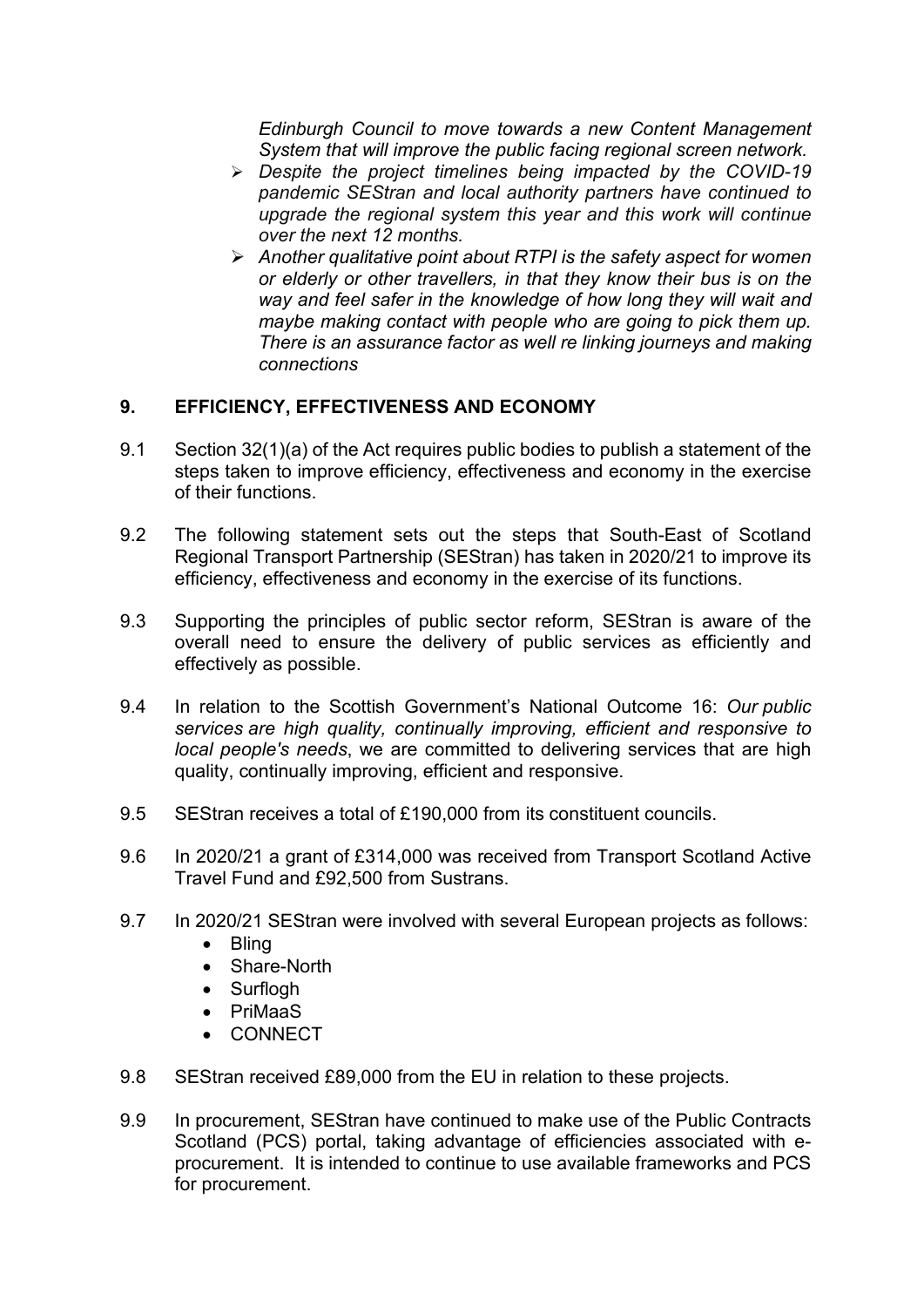*Edinburgh Council to move towards a new Content Management System that will improve the public facing regional screen network.*

- *Despite the project timelines being impacted by the COVID-19 pandemic SEStran and local authority partners have continued to upgrade the regional system this year and this work will continue over the next 12 months.*
- *Another qualitative point about RTPI is the safety aspect for women or elderly or other travellers, in that they know their bus is on the way and feel safer in the knowledge of how long they will wait and maybe making contact with people who are going to pick them up. There is an assurance factor as well re linking journeys and making connections*

### **9. EFFICIENCY, EFFECTIVENESS AND ECONOMY**

- 9.1 Section 32(1)(a) of the Act requires public bodies to publish a statement of the steps taken to improve efficiency, effectiveness and economy in the exercise of their functions.
- 9.2 The following statement sets out the steps that South-East of Scotland Regional Transport Partnership (SEStran) has taken in 2020/21 to improve its efficiency, effectiveness and economy in the exercise of its functions.
- 9.3 Supporting the principles of public sector reform, SEStran is aware of the overall need to ensure the delivery of public services as efficiently and effectively as possible.
- 9.4 In relation to the Scottish Government's National Outcome 16: *Our public services are high quality, continually improving, efficient and responsive to local people's needs*, we are committed to delivering services that are high quality, continually improving, efficient and responsive.
- 9.5 SEStran receives a total of £190,000 from its constituent councils.
- 9.6 In 2020/21 a grant of £314,000 was received from Transport Scotland Active Travel Fund and £92,500 from Sustrans.
- 9.7 In 2020/21 SEStran were involved with several European projects as follows:
	- Bling
	- Share-North
	- Surflogh
	- PriMaaS
	- CONNECT
- 9.8 SEStran received £89,000 from the EU in relation to these projects.
- 9.9 In procurement, SEStran have continued to make use of the Public Contracts Scotland (PCS) portal, taking advantage of efficiencies associated with eprocurement. It is intended to continue to use available frameworks and PCS for procurement.